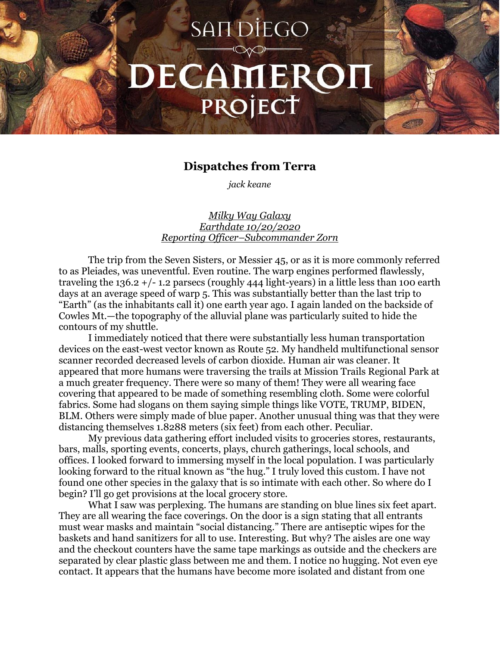## **SANDIEGO** DECAMEROH PROJECT

## **Dispatches from Terra**

*jack keane*

*Milky Way Galaxy Earthdate 10/20/2020 Reporting Officer–Subcommander Zorn*

The trip from the Seven Sisters, or Messier 45, or as it is more commonly referred to as Pleiades, was uneventful. Even routine. The warp engines performed flawlessly, traveling the  $136.2 + (-1.2 \text{ parses (roughly 444 light-years)} \text{ in a little less than 100 earth})$ days at an average speed of warp 5. This was substantially better than the last trip to "Earth" (as the inhabitants call it) one earth year ago. I again landed on the backside of Cowles Mt.—the topography of the alluvial plane was particularly suited to hide the contours of my shuttle.

I immediately noticed that there were substantially less human transportation devices on the east-west vector known as Route 52. My handheld multifunctional sensor scanner recorded decreased levels of carbon dioxide. Human air was cleaner. It appeared that more humans were traversing the trails at Mission Trails Regional Park at a much greater frequency. There were so many of them! They were all wearing face covering that appeared to be made of something resembling cloth. Some were colorful fabrics. Some had slogans on them saying simple things like VOTE, TRUMP, BIDEN, BLM. Others were simply made of blue paper. Another unusual thing was that they were distancing themselves 1.8288 meters (six feet) from each other. Peculiar.

My previous data gathering effort included visits to groceries stores, restaurants, bars, malls, sporting events, concerts, plays, church gatherings, local schools, and offices. I looked forward to immersing myself in the local population. I was particularly looking forward to the ritual known as "the hug." I truly loved this custom. I have not found one other species in the galaxy that is so intimate with each other. So where do I begin? I'll go get provisions at the local grocery store.

What I saw was perplexing. The humans are standing on blue lines six feet apart. They are all wearing the face coverings. On the door is a sign stating that all entrants must wear masks and maintain "social distancing." There are antiseptic wipes for the baskets and hand sanitizers for all to use. Interesting. But why? The aisles are one way and the checkout counters have the same tape markings as outside and the checkers are separated by clear plastic glass between me and them. I notice no hugging. Not even eye contact. It appears that the humans have become more isolated and distant from one